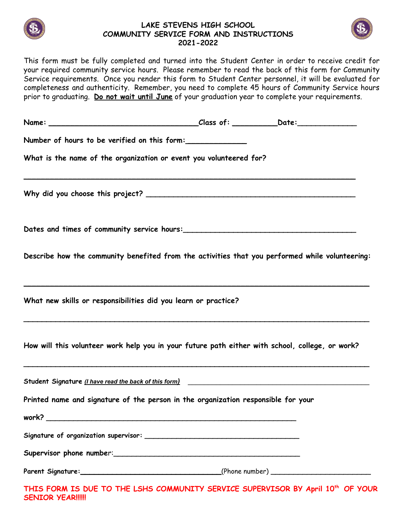

## **LAKE STEVENS HIGH SCHOOL COMMUNITY SERVICE FORM AND INSTRUCTIONS 2021-2022**



This form must be fully completed and turned into the Student Center in order to receive credit for your required community service hours. Please remember to read the back of this form for Community Service requirements. Once you render this form to Student Center personnel, it will be evaluated for completeness and authenticity. Remember, you need to complete 45 hours of Community Service hours prior to graduating. **Do not wait until June** of your graduation year to complete your requirements.

| Name: __________________________________Class of: ______________Date: _________________                                                                                                                                        |  |
|--------------------------------------------------------------------------------------------------------------------------------------------------------------------------------------------------------------------------------|--|
| Number of hours to be verified on this form: _____________                                                                                                                                                                     |  |
| What is the name of the organization or event you volunteered for?                                                                                                                                                             |  |
|                                                                                                                                                                                                                                |  |
|                                                                                                                                                                                                                                |  |
| Describe how the community benefited from the activities that you performed while volunteering:                                                                                                                                |  |
| What new skills or responsibilities did you learn or practice?                                                                                                                                                                 |  |
| How will this volunteer work help you in your future path either with school, college, or work?                                                                                                                                |  |
| Student Signature (I have read the back of this form) And the state of the state of the state of the state of the state of the state of the state of the state of the state of the state of the state of the state of the stat |  |
| Printed name and signature of the person in the organization responsible for your                                                                                                                                              |  |
|                                                                                                                                                                                                                                |  |
|                                                                                                                                                                                                                                |  |
| Supervisor phone number:                                                                                                                                                                                                       |  |
|                                                                                                                                                                                                                                |  |
|                                                                                                                                                                                                                                |  |

**THIS FORM IS DUE TO THE LSHS COMMUNITY SERVICE SUPERVISOR BY April 10 th OF YOUR SENIOR YEAR!!!!!!**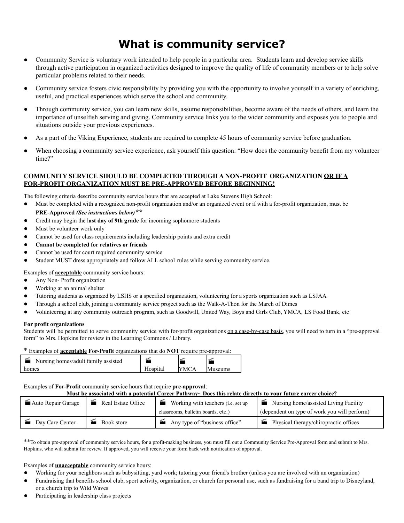# **What is community service?**

- Community Service is voluntary work intended to help people in a particular area. Students learn and develop service skills through active participation in organized activities designed to improve the quality of life of community members or to help solve particular problems related to their needs.
- Community service fosters civic responsibility by providing you with the opportunity to involve yourself in a variety of enriching, useful, and practical experiences which serve the school and community.
- Through community service, you can learn new skills, assume responsibilities, become aware of the needs of others, and learn the importance of unselfish serving and giving. Community service links you to the wider community and exposes you to people and situations outside your previous experiences.
- As a part of the Viking Experience, students are required to complete 45 hours of community service before graduation.
- When choosing a community service experience, ask yourself this question: "How does the community benefit from my volunteer time?"

### **COMMUNITY SERVICE SHOULD BE COMPLETED THROUGH A NON-PROFIT ORGANIZATION OR IF A FOR-PROFIT ORGANIZATION MUST BE PRE-APPROVED BEFORE BEGINNING!**

The following criteria describe community service hours that are accepted at Lake Stevens High School:

- Must be completed with a recognized non-profit organization and/or an organized event or if with a for-profit organization, must be **PRE-Approved** *(See instructions below)\*\**
- Credit may begin the l**ast day of 9th grade** for incoming sophomore students
- Must be volunteer work only
- Cannot be used for class requirements including leadership points and extra credit
- **● Cannot be completed for relatives or friends**
- Cannot be used for court required community service
- Student MUST dress appropriately and follow ALL school rules while serving community service.

Examples of **acceptable** community service hours:

- Any Non-Profit organization
- Working at an animal shelter
- Tutoring students as organized by LSHS or a specified organization, volunteering for a sports organization such as LSJAA
- Through a school club, joining a community service project such as the Walk-A-Thon for the March of Dimes
- Volunteering at any community outreach program, such as Goodwill, United Way, Boys and Girls Club, YMCA, LS Food Bank, etc

#### **For profit organizations**

Students will be permitted to serve community service with for-profit organizations on a case-by-case basis, you will need to turn in a "pre-approval" form" to Mrs. Hopkins for review in the Learning Commons / Library.

#### \* Examples of **acceptable For-Profit** organizations that do **NOT** require pre-approval:

| <b>Room</b><br>Nursing homes/adult family assisted | $\overline{u}$ | <b>Room</b> | $\overline{m}$ |
|----------------------------------------------------|----------------|-------------|----------------|
| homes                                              | Hospital       | <b>YMCA</b> | Museums        |

#### Examples of **For-Profit** community service hours that require **pre-approval**:

**Must be associated with a potential Career Pathway~ Does this relate directly to your future career choice?**

| Auto Repair Garage | Real Estate Office | Working with teachers ( <i>i.e.</i> set up | Nursing home/assisted Living Facility                |
|--------------------|--------------------|--------------------------------------------|------------------------------------------------------|
|                    |                    | classrooms, bulletin boards, etc.)         | (dependent on type of work you will perform)         |
| Day Care Center    | Book store         | Any type of "business office"              | <b>Exercía Physical therapy/chiropractic offices</b> |

\*\*To obtain pre-approval of community service hours, for a profit-making business, you must fill out a Community Service Pre-Approval form and submit to Mrs. Hopkins, who will submit for review. If approved, you will receive your form back with notification of approval.

Examples of **unacceptable** community service hours:

- Working for your neighbors such as babysitting, yard work; tutoring your friend's brother (unless you are involved with an organization)
- Fundraising that benefits school club, sport activity, organization, or church for personal use, such as fundraising for a band trip to Disneyland, or a church trip to Wild Waves
- Participating in leadership class projects